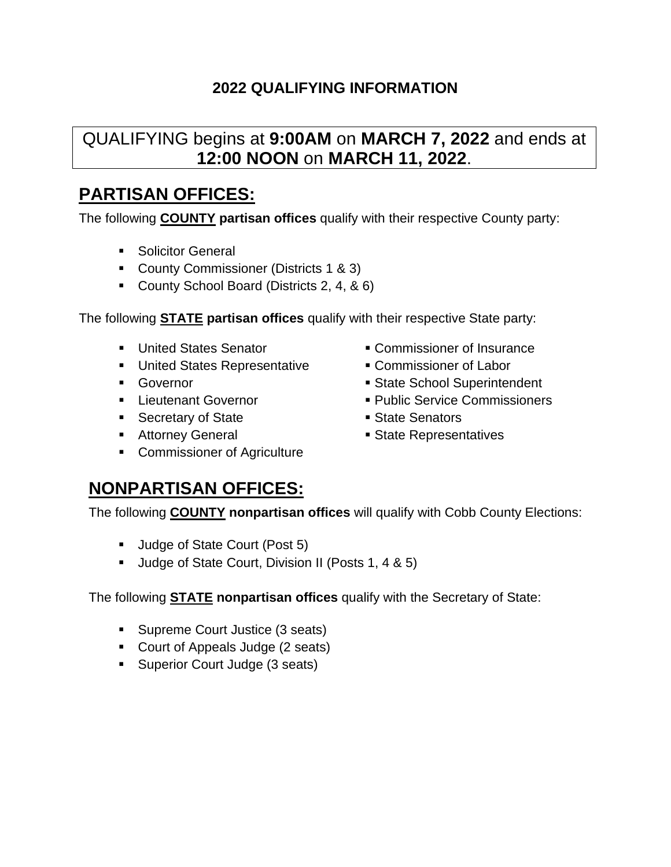### QUALIFYING begins at **9:00AM** on **MARCH 7, 2022** and ends at **12:00 NOON** on **MARCH 11, 2022**.

### **PARTISAN OFFICES:**

The following **COUNTY partisan offices** qualify with their respective County party:

- **Solicitor General**
- County Commissioner (Districts 1 & 3)
- County School Board (Districts 2, 4, & 6)

The following **STATE partisan offices** qualify with their respective State party:

- United States Senator
- **United States Representative**
- **Governor**
- **Lieutenant Governor**
- Secretary of State
- **Attorney General**
- **Commissioner of Agriculture**
- Commissioner of Insurance
- Commissioner of Labor
- State School Superintendent
- Public Service Commissioners
- State Senators
- State Representatives

### **NONPARTISAN OFFICES:**

The following **COUNTY nonpartisan offices** will qualify with Cobb County Elections:

- Uudge of State Court (Post 5)
- Uudge of State Court, Division II (Posts 1, 4 & 5)

The following **STATE nonpartisan offices** qualify with the Secretary of State:

- **Supreme Court Justice (3 seats)**
- Court of Appeals Judge (2 seats)
- **Superior Court Judge (3 seats)**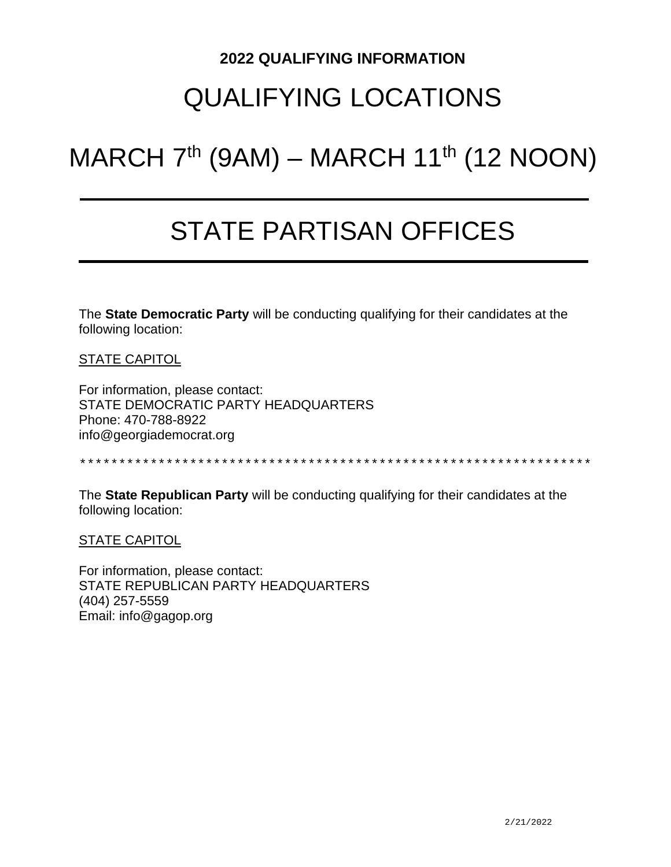### QUALIFYING LOCATIONS

# MARCH  $7<sup>th</sup>$  (9AM) – MARCH 11<sup>th</sup> (12 NOON)

## STATE PARTISAN OFFICES

The **State Democratic Party** will be conducting qualifying for their candidates at the following location:

STATE CAPITOL

For information, please contact: STATE DEMOCRATIC PARTY HEADQUARTERS Phone: 470-788-8922 info@georgiademocrat.org

\*\*\*\*\*\*\*\*\*\*\*\*\*\*\*\*\*\*\*\*\*\*\*\*\*\*\*\*\*\*\*\*\*\*\*\*\*\*\*\*\*\*\*\*\*\*\*\*\*\*\*\*\*\*\*\*\*\*\*\*\*\*\*\*\*

The **State Republican Party** will be conducting qualifying for their candidates at the following location:

**STATE CAPITOL** 

For information, please contact: STATE REPUBLICAN PARTY HEADQUARTERS (404) 257-5559 Email: info@gagop.org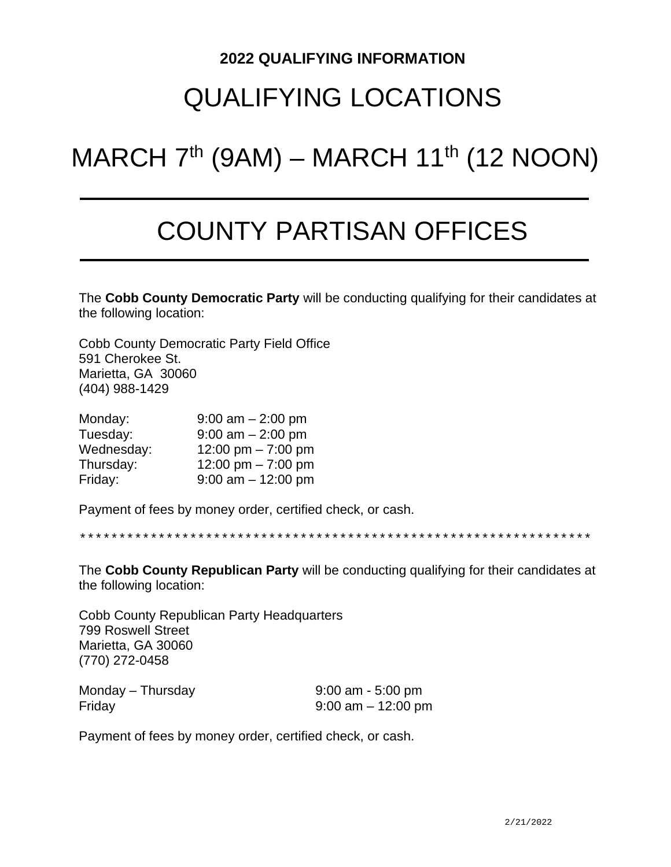### QUALIFYING LOCATIONS

# MARCH  $7<sup>th</sup>$  (9AM) – MARCH 11<sup>th</sup> (12 NOON)

## COUNTY PARTISAN OFFICES

The **Cobb County Democratic Party** will be conducting qualifying for their candidates at the following location:

Cobb County Democratic Party Field Office 591 Cherokee St. Marietta, GA 30060 (404) 988-1429

| Monday:    | $9:00$ am $-2:00$ pm  |
|------------|-----------------------|
| Tuesday:   | $9:00$ am $-2:00$ pm  |
| Wednesday: | 12:00 pm $- 7:00$ pm  |
| Thursday:  | 12:00 pm $-7:00$ pm   |
| Friday:    | $9:00$ am $-12:00$ pm |

Payment of fees by money order, certified check, or cash.

\*\*\*\*\*\*\*\*\*\*\*\*\*\*\*\*\*\*\*\*\*\*\*\*\*\*\*\*\*\*\*\*\*\*\*\*\*\*\*\*\*\*\*\*\*\*\*\*\*\*\*\*\*\*\*\*\*\*\*\*\*\*\*\*\*

The **Cobb County Republican Party** will be conducting qualifying for their candidates at the following location:

Cobb County Republican Party Headquarters 799 Roswell Street Marietta, GA 30060 (770) 272-0458

| Monday – Thursday | $9:00$ am - 5:00 pm   |
|-------------------|-----------------------|
| Friday            | $9:00$ am $-12:00$ pm |

Payment of fees by money order, certified check, or cash.